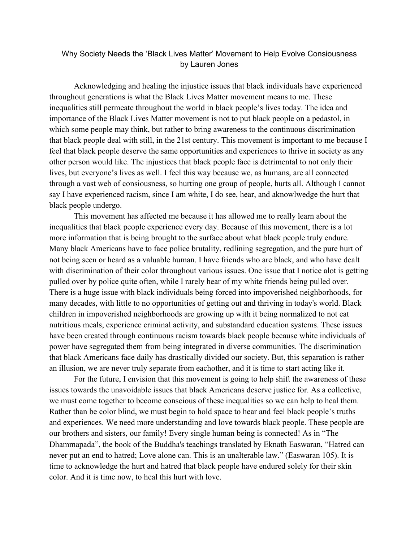## Why Society Needs the 'Black Lives Matter' Movement to Help Evolve Consiousness by Lauren Jones

Acknowledging and healing the injustice issues that black individuals have experienced throughout generations is what the Black Lives Matter movement means to me. These inequalities still permeate throughout the world in black people's lives today. The idea and importance of the Black Lives Matter movement is not to put black people on a pedastol, in which some people may think, but rather to bring awareness to the continuous discrimination that black people deal with still, in the 21st century. This movement is important to me because I feel that black people deserve the same opportunities and experiences to thrive in society as any other person would like. The injustices that black people face is detrimental to not only their lives, but everyone's lives as well. I feel this way because we, as humans, are all connected through a vast web of consiousness, so hurting one group of people, hurts all. Although I cannot say I have experienced racism, since I am white, I do see, hear, and aknowlwedge the hurt that black people undergo.

This movement has affected me because it has allowed me to really learn about the inequalities that black people experience every day. Because of this movement, there is a lot more information that is being brought to the surface about what black people truly endure. Many black Americans have to face police brutality, redlining segregation, and the pure hurt of not being seen or heard as a valuable human. I have friends who are black, and who have dealt with discrimination of their color throughout various issues. One issue that I notice alot is getting pulled over by police quite often, while I rarely hear of my white friends being pulled over. There is a huge issue with black individuals being forced into impoverished neighborhoods, for many decades, with little to no opportunities of getting out and thriving in today's world. Black children in impoverished neighborhoods are growing up with it being normalized to not eat nutritious meals, experience criminal activity, and substandard education systems. These issues have been created through continuous racism towards black people because white individuals of power have segregated them from being integrated in diverse communities. The discrimination that black Americans face daily has drastically divided our society. But, this separation is rather an illusion, we are never truly separate from eachother, and it is time to start acting like it.

For the future, I envision that this movement is going to help shift the awareness of these issues towards the unavoidable issues that black Americans deserve justice for. As a collective, we must come together to become conscious of these inequalities so we can help to heal them. Rather than be color blind, we must begin to hold space to hear and feel black people's truths and experiences. We need more understanding and love towards black people. These people are our brothers and sisters, our family! Every single human being is connected! As in "The Dhammapada", the book of the Buddha's teachings translated by Eknath Easwaran, "Hatred can never put an end to hatred; Love alone can. This is an unalterable law." (Easwaran 105). It is time to acknowledge the hurt and hatred that black people have endured solely for their skin color. And it is time now, to heal this hurt with love.